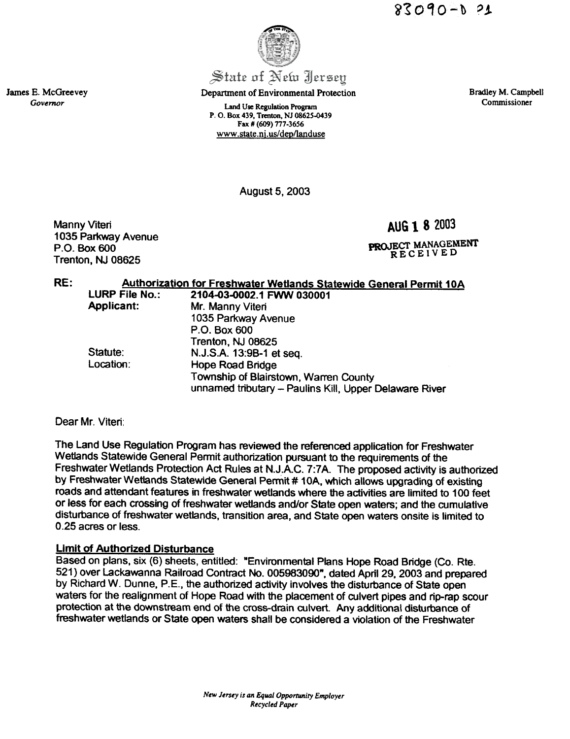$83090 - 0.21$ 

James E. McGreevey Governor

August 5, 2003

Manny Viteri 1035 Parkway Avenue P.O. Box 600 Trenton, NJ 08625

RE: Authorization for Freshwater Wetlands Statewide General Permit 10A<br>LURP File No.: 2104-03-0002.1 FWW 030001 LURP File No.: 2104-03-0002.1 FWW 030001 Applicant: Mr. Manny Viteri

| rwwwant.  | <b>IVII. IVICIIIIY VILCII</b>                          |
|-----------|--------------------------------------------------------|
|           | 1035 Parkway Avenue                                    |
|           | P.O. Box 600                                           |
|           | Trenton, NJ 08625                                      |
| Statute:  | N.J.S.A. 13:9B-1 et seq.                               |
| Location: | <b>Hope Road Bridge</b>                                |
|           | Township of Blairstown, Warren County                  |
|           | unnamed tributary - Paulins Kill, Upper Delaware River |

Dear Mr. Viteri:

The Land Use Regulation Program has reviewed the referenced application for Freshwater Wetlands Statewide General Permit authorization pursuant to the requirements of the Freshwater Wetlands Protection Act Rules at N.J.A.C. 7:7A. The proposed activity is authorized by Freshwater Wetlands Statewide General Permit # 10A, which allows upgrading of existing roads and attendant features in freshwater wetlands where the activities are limited to 100 feet or less for each crossing of freshwater wetlands and/or State open waters; and the cumulative disturbance of freshwater wetlands, transition area, and State open waters onsite is limited to 0.25 acres or less.

# LImit of Authorized Disturbance

Based on plans, six (6) sheets, entitled: "Environmental Plans Hope Road Bridge (Co. Rte. 521) over Lackawanna Railroad Contract No. 005983000", dated April 29. 2003 and prepared by Richard W. Dunne, P.E., the authorized activity involves the disturbance of State open waters for the realignment of Hope Road with the placement of culvert pipes and rip-rap scour protection at the downstream end of the cross-drain culvert. Any additional disturbance of freshwater wetlands or State open waters shall be considered a violation of the Freshwater

Department of Environmental Protection

Land Use Regulation Program P. O. Box 439, Trenton, NJ 08625-0439 Fax # (609) 777-3656 www.state.ni.us/deo/landuse

Bradley M. Campbell Commissioner

AUG 1 8 2003

PROJECT MANAGEMENT RECEIVED

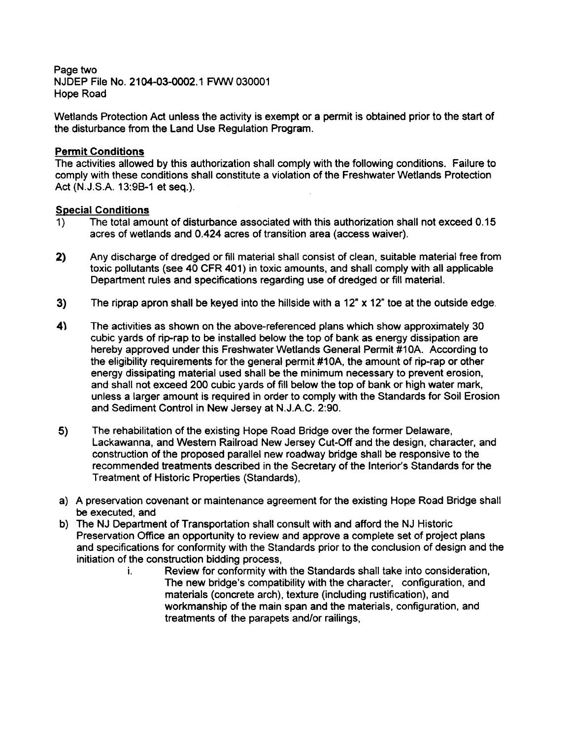Page two NJDEP File No. 2104-03-0002.1 FWW 030001 Hope Road

Wetlands Protection Act unless the activity is exempt or a permit is obtained prior to the start of the disturbance from the Land Use Regulation Program.

### Permit Conditions

The activities allowed by this authorization shall comply with the following conditions. Failure to comply with these conditions shall constitute a violation of the Freshwater Wetlands Protection Act (N.J.S.A. 13:98-1 et seq.).

#### Special Conditions

- 1) The total amount of disturbance associated with this authorization shall not exceed 0.15 acres of wetlands and 0.424 acres of transition area (access waiver).
- 2} Any discharge of dredged or fill material shall consist of clean, suitable material free from toxic pollutants (see 40 CFR 401) in toxic amounts, and shall comply with all applicable Department rules and specifications regarding use of dredged or fill material.
- 3) The riprap apron shall be keyed into the hillside with a 12" x 12" toe at the outside edge.
- The activities as shown on the above-referenced plans which show approximately 30 cubic yards of rip-rap to be installed below the top of bank as energy dissipation are hereby approved under this Freshwater Wetlands General Permit #10A. According to the eligibility requirements for the general permit #1 OA, the amount of rip-rap or other energy dissipating material used shall be the minimum necessary to prevent erosion, and shall not exceed 200 cubic yards of fill below the top of bank or high water mark, unless a larger amount is required in order to comply with the Standards for Soil Erosion and Sediment Control in New Jersey at N.J.A.C. 2:90. 4\
- 5) The rehabilitation of the existing Hope Road Bridge over the former Delaware, Lackawanna, and Western Railroad New Jersey Cut-Off and the design, character, and construction of the proposed parallel new roadway bridge shall be responsive to the recommended treatments described in the Secretary of the Interior's Standards for the Treatment of Historic Properties (Standards),
- a) A preservation covenant or maintenance agreement for the existing Hope Road Bridge shall be executed, and
- b) The NJ Department of Transportation shall consult with and afford the NJ Historic Preservation Office an opportunity to review and approve a complete set of project plans and specifications for conformity with the Standards prior to the conclusion of design and the initiation of the construction bidding process,
	- i. Review for conformity with the Standards shall take into consideration, The new bridge's compatibility with the character, configuration, and materials (concrete arch), texture (including rustification), and workmanship of the main span and the materials, configuration, and treatments of the parapets and/or railings,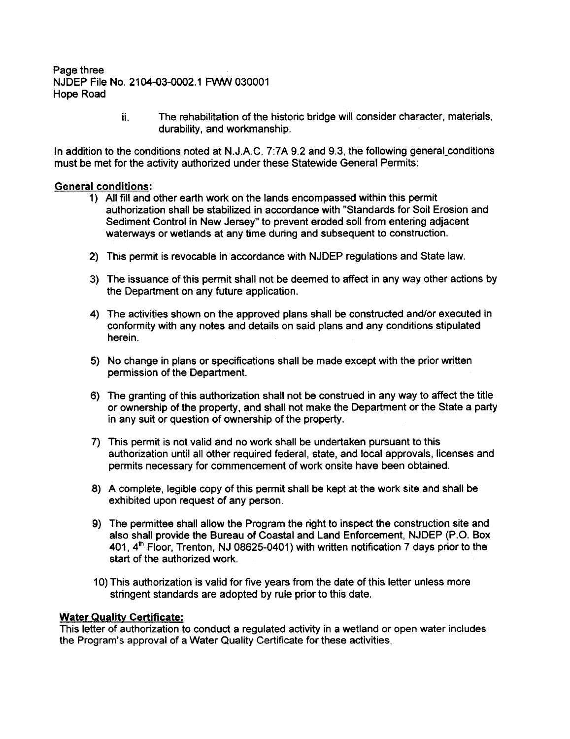#### Page three NJDEP File No. 2104-03-0002.1 FWW 030001 Hope Road

The rehabilitation of the historic bridge will consider character, materials, durability, and workmanship. ii.

In addition to the conditions noted at N.J.A.C. 7:7A 9.2 and 9.3, the following general\_conditions must be met for the activity authorized under these Statewide General Permits:

### General conditions:

- 1) All fill and other earth work on the lands encompassed within this permit authorization shall be stabilized in accordance with "Standards for Soil Erosion and Sediment Control in New Jersey" to prevent eroded soil from entering adjacent waterways or wetlands at any time during and subsequent to construction.
- 2) This permit is revocable in accordance with NJDEP regulations and State law.
- 3) The issuance of this permit shall not be deemed to affect in any way other actions by the Department on any future application.
- 4) The activities shown on the approved plans shall be constructed and/or executed in conformity with any notes and details on said plans and any conditions stipulated herein.
- 5) No change in plans or specifications shall be made except with the prior written permission of the Department.
- 6) The granting of this authorization shall not be construed in any way to affect the title or ownership of the property, and shall not make the Department or the State a party in any suit or question of ownership of the property.
- 7) This permit is not valid and no work shall be undertaken pursuant to this authorization until all other required federal, state, and local approvals, licenses and permits necessary for commencement of work onsite have been obtained.
- 8) A complete, legible copy of this permit shall be kept at the work site and shall be exhibited upon request of any person.
- 9) The permittee shall allow the Program the right to inspect the construction site and also shall provide the Bureau of Coastal and Land Enforcement, NJDEP (P.O. Box 401,  $4<sup>th</sup>$  Floor, Trenton, NJ 08625-0401) with written notification 7 days prior to the start of the authorized work.
- 10) This authorization is valid for five years from the date of this letter unless more stringent standards are adopted by rule prior to this date.

#### Water Quality Certificate:

This letter of authorization to conduct a regulated activity in a wetland or open water includes the Program's approval of a Water Quality Certificate for these activities.